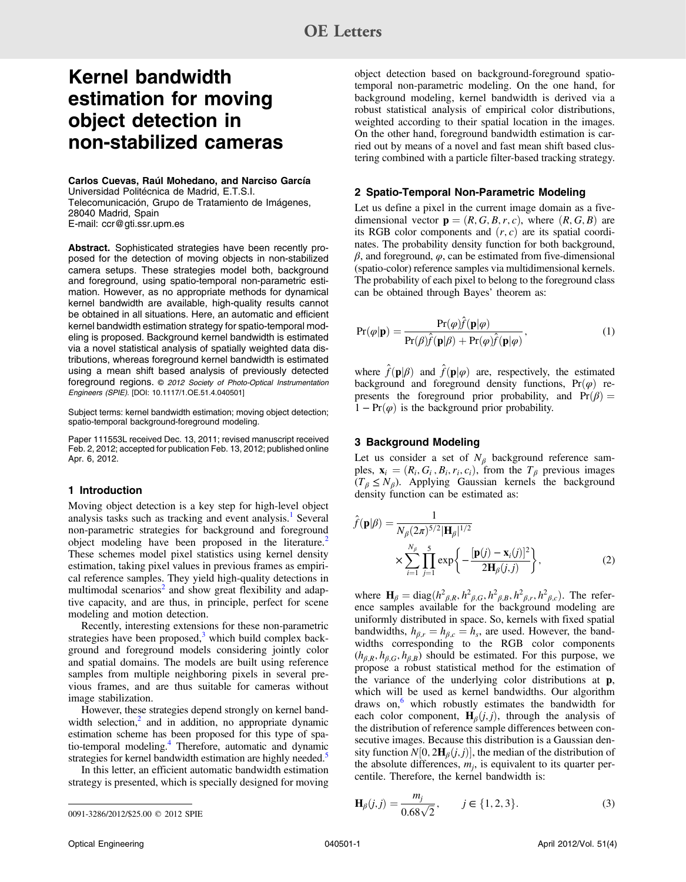# OE Letters

# Kernel bandwidth estimation for moving object detection in non-stabilized cameras

Carlos Cuevas, Raúl Mohedano, and Narciso García Universidad Politécnica de Madrid, E.T.S.I. Telecomunicación, Grupo de Tratamiento de Imágenes, 28040 Madrid, Spain E-mail: ccr@gti.ssr.upm.es

Abstract. Sophisticated strategies have been recently proposed for the detection of moving objects in non-stabilized camera setups. These strategies model both, background and foreground, using spatio-temporal non-parametric estimation. However, as no appropriate methods for dynamical kernel bandwidth are available, high-quality results cannot be obtained in all situations. Here, an automatic and efficient kernel bandwidth estimation strategy for spatio-temporal modeling is proposed. Background kernel bandwidth is estimated via a novel statistical analysis of spatially weighted data distributions, whereas foreground kernel bandwidth is estimated using a mean shift based analysis of previously detected foreground regions. © 2012 Society of Photo-Optical Instrumentation Engineers (SPIE). [DOI: 10.1117/1.OE.51.4.040501]

Subject terms: kernel bandwidth estimation; moving object detection; spatio-temporal background-foreground modeling.

Paper 111553L received Dec. 13, 2011; revised manuscript received Feb. 2, 2012; accepted for publication Feb. 13, 2012; published online Apr. 6, 2012.

## 1 Introduction

Moving object detection is a key step for high-level object analysis tasks such as tracking and event analysis.<sup>[1](#page-2-0)</sup> Several non-parametric strategies for background and foreground object modeling have been proposed in the literature.<sup>[2](#page-2-1)</sup> These schemes model pixel statistics using kernel density estimation, taking pixel values in previous frames as empirical reference samples. They yield high-quality detections in multimodal scenarios<sup>[2](#page-2-1)</sup> and show great flexibility and adaptive capacity, and are thus, in principle, perfect for scene modeling and motion detection.

Recently, interesting extensions for these non-parametric strategies have been proposed, $3$  which build complex background and foreground models considering jointly color and spatial domains. The models are built using reference samples from multiple neighboring pixels in several previous frames, and are thus suitable for cameras without image stabilization.

However, these strategies depend strongly on kernel bandwidth selection, $<sup>2</sup>$  and in addition, no appropriate dynamic</sup> estimation scheme has been proposed for this type of spatio-temporal modeling.<sup>4</sup> Therefore, automatic and dynamic strategies for kernel bandwidth estimation are highly needed.<sup>5</sup>

In this letter, an efficient automatic bandwidth estimation strategy is presented, which is specially designed for moving

0091-3286/2012/\$25.00 © 2012 SPIE

object detection based on background-foreground spatiotemporal non-parametric modeling. On the one hand, for background modeling, kernel bandwidth is derived via a robust statistical analysis of empirical color distributions, weighted according to their spatial location in the images. On the other hand, foreground bandwidth estimation is carried out by means of a novel and fast mean shift based clustering combined with a particle filter-based tracking strategy.

## 2 Spatio-Temporal Non-Parametric Modeling

Let us define a pixel in the current image domain as a fivedimensional vector  $\mathbf{p} = (R, G, B, r, c)$ , where  $(R, G, B)$  are its RGB color components and  $(r, c)$  are its spatial coordinates. The probability density function for both background,  $\beta$ , and foreground,  $\varphi$ , can be estimated from five-dimensional (spatio-color) reference samples via multidimensional kernels. The probability of each pixel to belong to the foreground class can be obtained through Bayes' theorem as:

$$
Pr(\varphi|\mathbf{p}) = \frac{Pr(\varphi)\hat{f}(\mathbf{p}|\varphi)}{Pr(\beta)\hat{f}(\mathbf{p}|\beta) + Pr(\varphi)\hat{f}(\mathbf{p}|\varphi)},
$$
(1)

where  $\hat{f}(\mathbf{p}|\beta)$  and  $\hat{f}(\mathbf{p}|\varphi)$  are, respectively, the estimated background and foreground density functions  $Pr(\varphi)$  rebackground and foreground density functions,  $Pr(\varphi)$  represents the foreground prior probability, and  $Pr(\beta) =$  $1 - Pr(\varphi)$  is the background prior probability.

## 3 Background Modeling

Let us consider a set of  $N_\beta$  background reference samples,  $\mathbf{x}_i = (R_i, G_i, B_i, r_i, c_i)$ , from the  $T_\beta$  previous images  $(T_\beta \leq N_\beta)$ . Applying Gaussian kernels the background density function can be estimated as:

$$
\hat{f}(\mathbf{p}|\beta) = \frac{1}{N_{\beta}(2\pi)^{5/2} |\mathbf{H}_{\beta}|^{1/2}} \times \sum_{i=1}^{N_{\beta}} \sum_{j=1}^{5} \exp\left\{-\frac{[\mathbf{p}(j) - \mathbf{x}_{i}(j)]^{2}}{2\mathbf{H}_{\beta}(j,j)}\right\},
$$
\n(2)

where  $\mathbf{H}_{\beta} = \text{diag}(h^2_{\beta,R}, h^2_{\beta,G}, h^2_{\beta,B}, h^2_{\beta,F}, h^2_{\beta,C})$ . The refer-<br>ence samples available for the background modeling are ence samples available for the background modeling are uniformly distributed in space. So, kernels with fixed spatial bandwidths,  $h_{\beta,r} = h_{\beta,c} = h_s$ , are used. However, the bandwidths corresponding to the RGB color components  $(h_{\beta,R}, h_{\beta,G}, h_{\beta,B})$  should be estimated. For this purpose, we propose a robust statistical method for the estimation of the variance of the underlying color distributions at p, which will be used as kernel bandwidths. Our algorithm draws on, $6$  which robustly estimates the bandwidth for each color component,  $H_\beta(j, j)$ , through the analysis of the distribution of reference sample differences between consecutive images. Because this distribution is a Gaussian density function  $N[0, 2\mathbf{H}_{\beta}(j, j)]$ , the median of the distribution of the absolute differences,  $m_i$ , is equivalent to its quarter percentile. Therefore, the kernel bandwidth is:

$$
\mathbf{H}_{\beta}(j,j) = \frac{m_j}{0.68\sqrt{2}}, \qquad j \in \{1, 2, 3\}.
$$
 (3)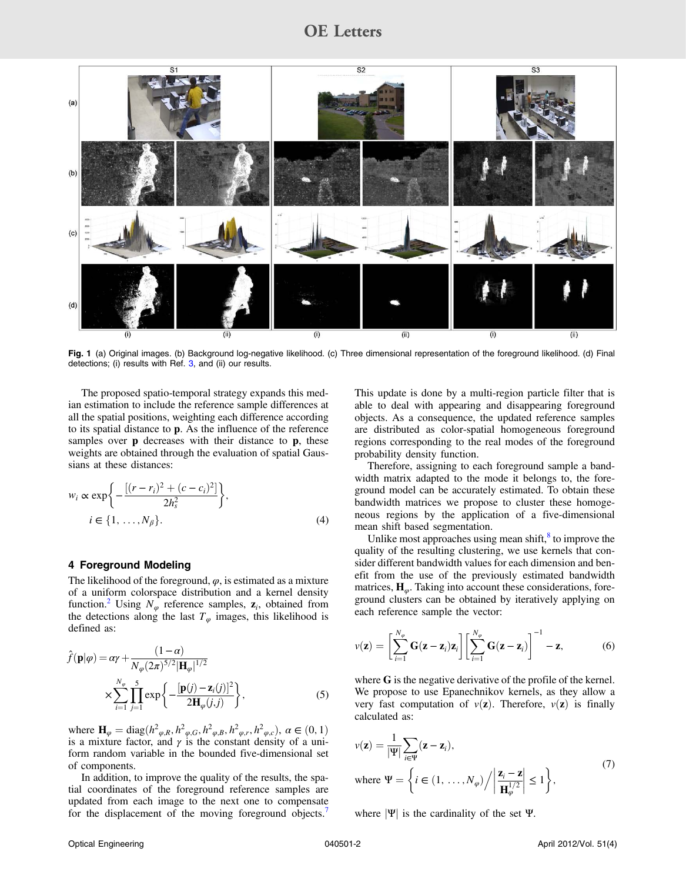# OE Letters

<span id="page-1-0"></span>

Fig. 1 (a) Original images. (b) Background log-negative likelihood. (c) Three dimensional representation of the foreground likelihood. (d) Final detections; (i) results with Ref. [3,](#page-2-2) and (ii) our results.

The proposed spatio-temporal strategy expands this median estimation to include the reference sample differences at all the spatial positions, weighting each difference according to its spatial distance to p. As the influence of the reference samples over **p** decreases with their distance to **p**, these weights are obtained through the evaluation of spatial Gaussians at these distances:

$$
w_i \propto \exp\left\{-\frac{[(r-r_i)^2 + (c-c_i)^2]}{2h_s^2}\right\},\,
$$
  
\n $i \in \{1, ..., N_\beta\}.$  (4)

# 4 Foreground Modeling

The likelihood of the foreground,  $\varphi$ , is estimated as a mixture of a uniform colorspace distribution and a kernel density function.<sup>[2](#page-2-1)</sup> Using  $N_{\varphi}$  reference samples,  $z_i$ , obtained from the detections along the last  $T_{\varphi}$  images, this likelihood is defined as:

$$
\hat{f}(\mathbf{p}|\varphi) = \alpha \gamma + \frac{(1-\alpha)}{N_{\varphi}(2\pi)^{5/2} |\mathbf{H}_{\varphi}|^{1/2}} \times \sum_{i=1}^{N_{\varphi}} \prod_{j=1}^{5} \exp\left\{-\frac{[\mathbf{p}(j) - \mathbf{z}_i(j)]^2}{2\mathbf{H}_{\varphi}(j,j)}\right\},
$$
\n(5)

where  $\mathbf{H}_{\varphi} = \text{diag}(h^2_{\varphi,R}, h^2_{\varphi,G}, h^2_{\varphi,B}, h^2_{\varphi,r}, h^2_{\varphi,c})$ ,  $\alpha \in (0, 1)$  is a mixture factor, and  $\gamma$  is the constant density of a uniform random variable in the bounded five-dimensional set of components.

In addition, to improve the quality of the results, the spatial coordinates of the foreground reference samples are updated from each image to the next one to compensate for the displacement of the moving foreground objects.<sup>[7](#page-2-6)</sup> This update is done by a multi-region particle filter that is able to deal with appearing and disappearing foreground objects. As a consequence, the updated reference samples are distributed as color-spatial homogeneous foreground regions corresponding to the real modes of the foreground probability density function.

Therefore, assigning to each foreground sample a bandwidth matrix adapted to the mode it belongs to, the foreground model can be accurately estimated. To obtain these bandwidth matrices we propose to cluster these homogeneous regions by the application of a five-dimensional mean shift based segmentation.

Unlike most approaches using mean shift, $\frac{8}{3}$  $\frac{8}{3}$  $\frac{8}{3}$  to improve the quality of the resulting clustering, we use kernels that consider different bandwidth values for each dimension and benefit from the use of the previously estimated bandwidth matrices,  $H_{\varphi}$ . Taking into account these considerations, foreground clusters can be obtained by iteratively applying on each reference sample the vector:

$$
v(\mathbf{z}) = \left[\sum_{i=1}^{N_{\varphi}} \mathbf{G}(\mathbf{z} - \mathbf{z}_i) \mathbf{z}_i\right] \left[\sum_{i=1}^{N_{\varphi}} \mathbf{G}(\mathbf{z} - \mathbf{z}_i)\right]^{-1} - \mathbf{z},
$$
 (6)

where **G** is the negative derivative of the profile of the kernel. We propose to use Epanechnikov kernels, as they allow a very fast computation of  $v(\mathbf{z})$ . Therefore,  $v(\mathbf{z})$  is finally calculated as:

$$
v(\mathbf{z}) = \frac{1}{|\Psi|} \sum_{i \in \Psi} (\mathbf{z} - \mathbf{z}_i),
$$
  
where  $\Psi = \left\{ i \in (1, ..., N_\varphi) / \left| \frac{\mathbf{z}_i - \mathbf{z}}{\mathbf{H}^{1/2}_\varphi} \right| \le 1 \right\},$  (7)

where  $|\Psi|$  is the cardinality of the set  $\Psi$ .